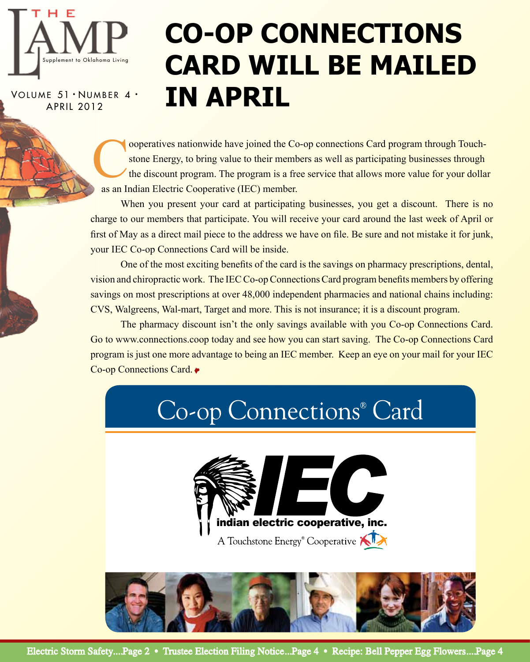

VOLUME 51 · NUMBER 4 · APRIL 2012

# **Co-op Connections Card will be mailed in April**

cooperatives nationwide have joined the Co-op connections Card program through Touch-<br>stone Energy, to bring value to their members as well as participating businesses through<br>the discount program. The program is a free se stone Energy, to bring value to their members as well as participating businesses through the discount program. The program is a free service that allows more value for your dollar as an Indian Electric Cooperative (IEC) member.

When you present your card at participating businesses, you get a discount. There is no charge to our members that participate. You will receive your card around the last week of April or first of May as a direct mail piece to the address we have on file. Be sure and not mistake it for junk, your IEC Co-op Connections Card will be inside.

One of the most exciting benefits of the card is the savings on pharmacy prescriptions, dental, vision and chiropractic work. The IEC Co-op Connections Card program benefits members by offering savings on most prescriptions at over 48,000 independent pharmacies and national chains including: CVS, Walgreens, Wal-mart, Target and more. This is not insurance; it is a discount program.

The pharmacy discount isn't the only savings available with you Co-op Connections Card. Go to www.connections.coop today and see how you can start saving. The Co-op Connections Card program is just one more advantage to being an IEC member. Keep an eye on your mail for your IEC Co-op Connections Card.

# Co-op Connections<sup>®</sup> Card EC indian electric cooperative, inc. A Touchstone Energy<sup>®</sup> Cooperative **KI**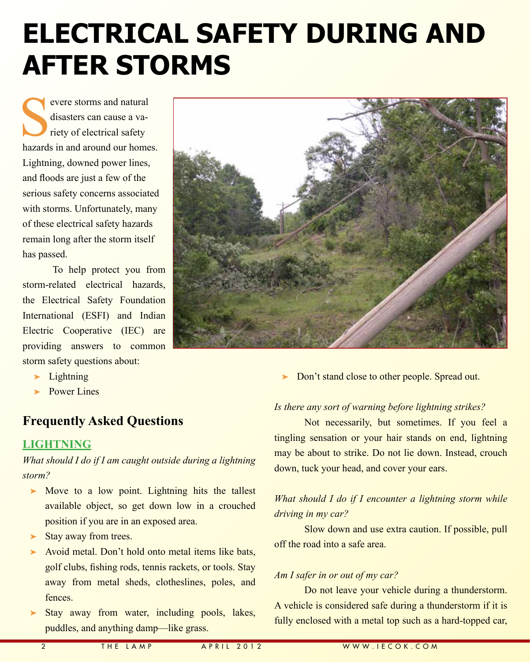## **Electrical Safety During and After Storms**

Severe storms and natural<br>
disasters can cause a variety of electrical safety<br>
hazards in and around our home disasters can cause a variety of electrical safety hazards in and around our homes. Lightning, downed power lines, and floods are just a few of the serious safety concerns associated with storms. Unfortunately, many of these electrical safety hazards remain long after the storm itself has passed.

To help protect you from storm-related electrical hazards, the Electrical Safety Foundation International (ESFI) and Indian Electric Cooperative (IEC) are providing answers to common storm safety questions about:

- ➤ Lightning
- ▶ Power Lines

### **Frequently Asked Questions**

#### **Lightning**

*What should I do if I am caught outside during a lightning storm?*

- ► Move to a low point. Lightning hits the tallest available object, so get down low in a crouched position if you are in an exposed area.
- Stay away from trees.
- ➤ Avoid metal. Don't hold onto metal items like bats, golf clubs, fishing rods, tennis rackets, or tools. Stay away from metal sheds, clotheslines, poles, and fences.
- ➤ Stay away from water, including pools, lakes, puddles, and anything damp—like grass.

Don't stand close to other people. Spread out.

#### *Is there any sort of warning before lightning strikes?*

Not necessarily, but sometimes. If you feel a tingling sensation or your hair stands on end, lightning may be about to strike. Do not lie down. Instead, crouch down, tuck your head, and cover your ears.

#### *What should I do if I encounter a lightning storm while driving in my car?*

Slow down and use extra caution. If possible, pull off the road into a safe area.

#### *Am I safer in or out of my car?*

Do not leave your vehicle during a thunderstorm. A vehicle is considered safe during a thunderstorm if it is fully enclosed with a metal top such as a hard-topped car,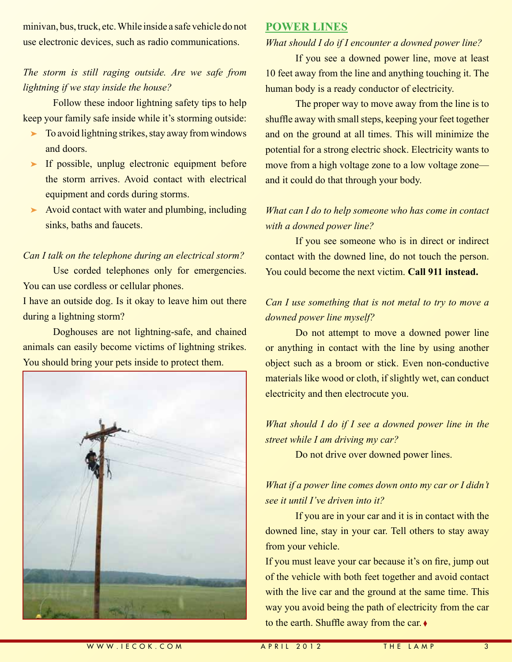minivan, bus, truck, etc. While inside a safe vehicle do not use electronic devices, such as radio communications.

#### *The storm is still raging outside. Are we safe from lightning if we stay inside the house?*

Follow these indoor lightning safety tips to help keep your family safe inside while it's storming outside:

- ➤ To avoid lightning strikes, stay away from windows and doors.
- ► If possible, unplug electronic equipment before the storm arrives. Avoid contact with electrical equipment and cords during storms.
- ► Avoid contact with water and plumbing, including sinks, baths and faucets.

#### *Can I talk on the telephone during an electrical storm?*

Use corded telephones only for emergencies. You can use cordless or cellular phones.

I have an outside dog. Is it okay to leave him out there during a lightning storm?

Doghouses are not lightning-safe, and chained animals can easily become victims of lightning strikes. You should bring your pets inside to protect them.



#### **Power Lines**

#### *What should I do if I encounter a downed power line?*

If you see a downed power line, move at least 10 feet away from the line and anything touching it. The human body is a ready conductor of electricity.

The proper way to move away from the line is to shuffle away with small steps, keeping your feet together and on the ground at all times. This will minimize the potential for a strong electric shock. Electricity wants to move from a high voltage zone to a low voltage zone and it could do that through your body.

#### *What can I do to help someone who has come in contact with a downed power line?*

If you see someone who is in direct or indirect contact with the downed line, do not touch the person. You could become the next victim. **Call 911 instead.**

#### *Can I use something that is not metal to try to move a downed power line myself?*

Do not attempt to move a downed power line or anything in contact with the line by using another object such as a broom or stick. Even non-conductive materials like wood or cloth, if slightly wet, can conduct electricity and then electrocute you.

*What should I do if I see a downed power line in the street while I am driving my car?*

Do not drive over downed power lines.

*What if a power line comes down onto my car or I didn't see it until I've driven into it?*

If you are in your car and it is in contact with the downed line, stay in your car. Tell others to stay away from your vehicle.

If you must leave your car because it's on fire, jump out of the vehicle with both feet together and avoid contact with the live car and the ground at the same time. This way you avoid being the path of electricity from the car to the earth. Shuffle away from the car. ◊